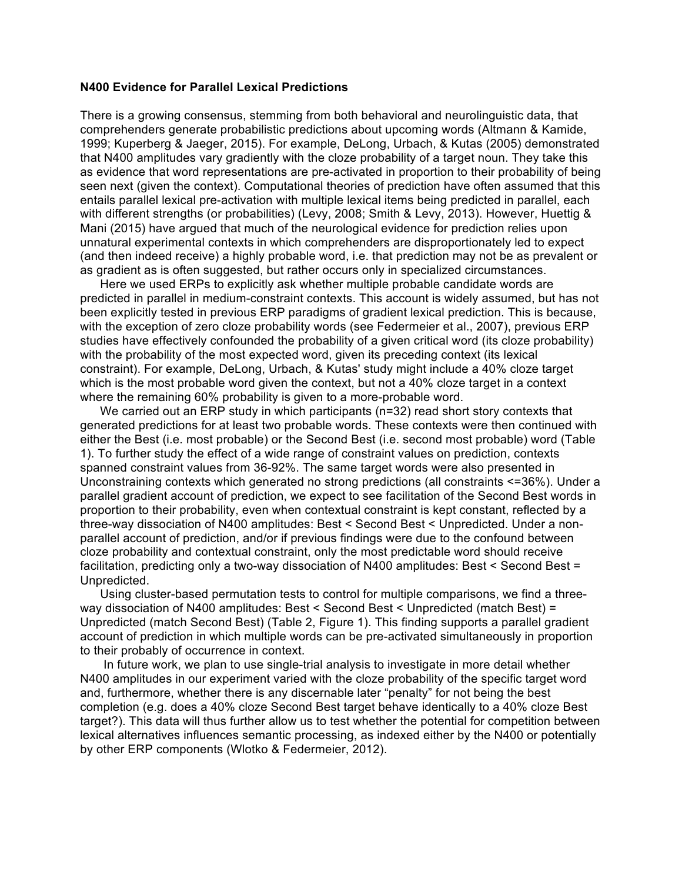#### **N400 Evidence for Parallel Lexical Predictions**

There is a growing consensus, stemming from both behavioral and neurolinguistic data, that comprehenders generate probabilistic predictions about upcoming words (Altmann & Kamide, 1999; Kuperberg & Jaeger, 2015). For example, DeLong, Urbach, & Kutas (2005) demonstrated that N400 amplitudes vary gradiently with the cloze probability of a target noun. They take this as evidence that word representations are pre-activated in proportion to their probability of being seen next (given the context). Computational theories of prediction have often assumed that this entails parallel lexical pre-activation with multiple lexical items being predicted in parallel, each with different strengths (or probabilities) (Levy, 2008; Smith & Levy, 2013). However, Huettig & Mani (2015) have argued that much of the neurological evidence for prediction relies upon unnatural experimental contexts in which comprehenders are disproportionately led to expect (and then indeed receive) a highly probable word, i.e. that prediction may not be as prevalent or as gradient as is often suggested, but rather occurs only in specialized circumstances.

Here we used ERPs to explicitly ask whether multiple probable candidate words are predicted in parallel in medium-constraint contexts. This account is widely assumed, but has not been explicitly tested in previous ERP paradigms of gradient lexical prediction. This is because, with the exception of zero cloze probability words (see Federmeier et al., 2007), previous ERP studies have effectively confounded the probability of a given critical word (its cloze probability) with the probability of the most expected word, given its preceding context (its lexical constraint). For example, DeLong, Urbach, & Kutas' study might include a 40% cloze target which is the most probable word given the context, but not a 40% cloze target in a context where the remaining 60% probability is given to a more-probable word.

We carried out an ERP study in which participants (n=32) read short story contexts that generated predictions for at least two probable words. These contexts were then continued with either the Best (i.e. most probable) or the Second Best (i.e. second most probable) word (Table 1). To further study the effect of a wide range of constraint values on prediction, contexts spanned constraint values from 36-92%. The same target words were also presented in Unconstraining contexts which generated no strong predictions (all constraints <=36%). Under a parallel gradient account of prediction, we expect to see facilitation of the Second Best words in proportion to their probability, even when contextual constraint is kept constant, reflected by a three-way dissociation of N400 amplitudes: Best < Second Best < Unpredicted. Under a nonparallel account of prediction, and/or if previous findings were due to the confound between cloze probability and contextual constraint, only the most predictable word should receive facilitation, predicting only a two-way dissociation of N400 amplitudes: Best < Second Best = Unpredicted.

Using cluster-based permutation tests to control for multiple comparisons, we find a threeway dissociation of N400 amplitudes: Best < Second Best < Unpredicted (match Best) = Unpredicted (match Second Best) (Table 2, Figure 1). This finding supports a parallel gradient account of prediction in which multiple words can be pre-activated simultaneously in proportion to their probably of occurrence in context.

In future work, we plan to use single-trial analysis to investigate in more detail whether N400 amplitudes in our experiment varied with the cloze probability of the specific target word and, furthermore, whether there is any discernable later "penalty" for not being the best completion (e.g. does a 40% cloze Second Best target behave identically to a 40% cloze Best target?). This data will thus further allow us to test whether the potential for competition between lexical alternatives influences semantic processing, as indexed either by the N400 or potentially by other ERP components (Wlotko & Federmeier, 2012).